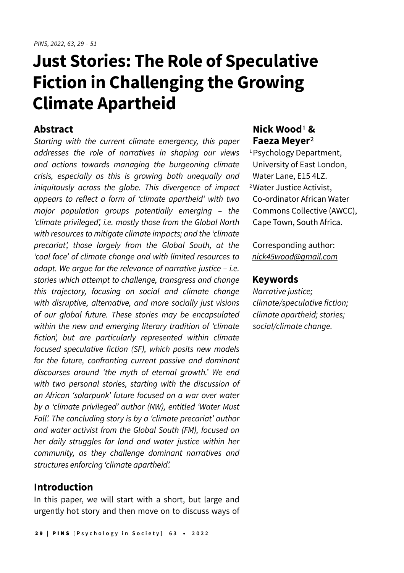# **Just Stories: The Role of Speculative Fiction in Challenging the Growing Climate Apartheid**

### **Abstract**

Starting with the current climate emergency, this paper addresses the role of narratives in shaping our views and actions towards managing the burgeoning climate crisis, especially as this is growing both unequally and iniquitously across the globe. This divergence of impact appears to reflect a form of 'climate apartheid' with two major population groups potentially emerging – the 'climate privileged', i.e. mostly those from the Global North with resources to mitigate climate impacts; and the 'climate precariat', those largely from the Global South, at the 'coal face' of climate change and with limited resources to adapt. We argue for the relevance of narrative justice – i.e. stories which attempt to challenge, transgress and change this trajectory, focusing on social and climate change with disruptive, alternative, and more socially just visions of our global future. These stories may be encapsulated within the new and emerging literary tradition of 'climate fiction', but are particularly represented within climate focused speculative fiction (SF), which posits new models for the future, confronting current passive and dominant discourses around 'the myth of eternal growth.' We end with two personal stories, starting with the discussion of an African 'solarpunk' future focused on a war over water by a 'climate privileged' author (NW), entitled 'Water Must Fall'. The concluding story is by a 'climate precariat' author and water activist from the Global South (FM), focused on her daily struggles for land and water justice within her community, as they challenge dominant narratives and structures enforcing 'climate apartheid'.

## **Introduction**

In this paper, we will start with a short, but large and urgently hot story and then move on to discuss ways of

# **Nick Wood**1 **& Faeza Meyer**2

1 Psychology Department, University of East London, Water Lane, E15 4LZ. 2 Water Justice Activist, Co-ordinator African Water Commons Collective (AWCC), Cape Town, South Africa.

Corresponding author: [nick45wood@gmail.com](mailto:nick45wood@gmail.com)

#### **Keywords**

Narrative justice; climate/speculative fiction; climate apartheid; stories; social/climate change.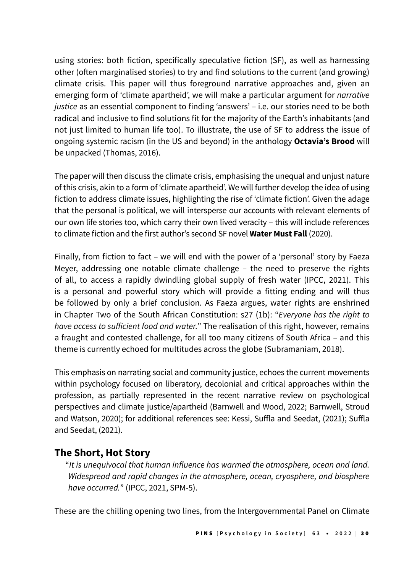using stories: both fiction, specifically speculative fiction (SF), as well as harnessing other (often marginalised stories) to try and find solutions to the current (and growing) climate crisis. This paper will thus foreground narrative approaches and, given an emerging form of 'climate apartheid', we will make a particular argument for *narrative* justice as an essential component to finding 'answers' - i.e. our stories need to be both radical and inclusive to find solutions fit for the majority of the Earth's inhabitants (and not just limited to human life too). To illustrate, the use of SF to address the issue of ongoing systemic racism (in the US and beyond) in the anthology **Octavia's Brood** will be unpacked (Thomas, 2016).

The paper will then discuss the climate crisis, emphasising the unequal and unjust nature of this crisis, akin to a form of 'climate apartheid'. We will further develop the idea of using fiction to address climate issues, highlighting the rise of 'climate fiction'. Given the adage that the personal is political, we will intersperse our accounts with relevant elements of our own life stories too, which carry their own lived veracity – this will include references to climate fiction and the first author's second SF novel **Water Must Fall** (2020).

Finally, from fiction to fact – we will end with the power of a 'personal' story by Faeza Meyer, addressing one notable climate challenge – the need to preserve the rights of all, to access a rapidly dwindling global supply of fresh water (IPCC, 2021). This is a personal and powerful story which will provide a fitting ending and will thus be followed by only a brief conclusion. As Faeza argues, water rights are enshrined in Chapter Two of the South African Constitution: s27 (1b): "Everyone has the right to have access to sufficient food and water." The realisation of this right, however, remains a fraught and contested challenge, for all too many citizens of South Africa – and this theme is currently echoed for multitudes across the globe (Subramaniam, 2018).

This emphasis on narrating social and community justice, echoes the current movements within psychology focused on liberatory, decolonial and critical approaches within the profession, as partially represented in the recent narrative review on psychological perspectives and climate justice/apartheid (Barnwell and Wood, 2022; Barnwell, Stroud and Watson, 2020); for additional references see: Kessi, Suffla and Seedat, (2021); Suffla and Seedat, (2021).

# **The Short, Hot Story**

"It is unequivocal that human influence has warmed the atmosphere, ocean and land. Widespread and rapid changes in the atmosphere, ocean, cryosphere, and biosphere have occurred." (IPCC, 2021, SPM-5).

These are the chilling opening two lines, from the Intergovernmental Panel on Climate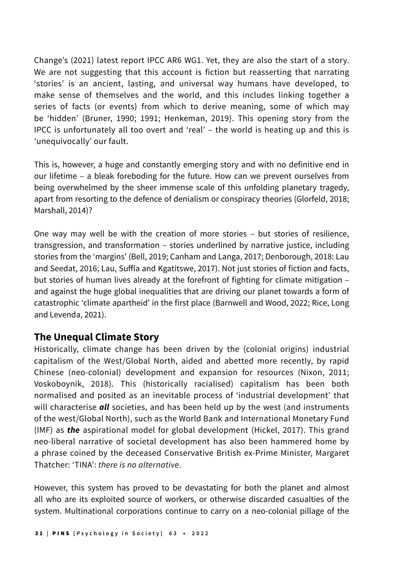Change's (2021) latest report IPCC AR6 WG1. Yet, they are also the start of a story. We are not suggesting that this account is fiction but reasserting that narrating 'stories' is an ancient, lasting, and universal way humans have developed, to make sense of themselves and the world, and this includes linking together a series of facts (or events) from which to derive meaning, some of which may be 'hidden' (Bruner, 1990; 1991; Henkeman, 2019). This opening story from the IPCC is unfortunately all too overt and 'real' – the world is heating up and this is 'unequivocally' our fault.

This is, however, a huge and constantly emerging story and with no definitive end in our lifetime – a bleak foreboding for the future. How can we prevent ourselves from being overwhelmed by the sheer immense scale of this unfolding planetary tragedy, apart from resorting to the defence of denialism or conspiracy theories (Glorfeld, 2018; Marshall, 2014)?

One way may well be with the creation of more stories – but stories of resilience, transgression, and transformation – stories underlined by narrative justice, including stories from the 'margins' (Bell, 2019; Canham and Langa, 2017; Denborough, 2018: Lau and Seedat, 2016; Lau, Suffla and Kgatitswe, 2017). Not just stories of fiction and facts, but stories of human lives already at the forefront of fighting for climate mitigation – and against the huge global inequalities that are driving our planet towards a form of catastrophic 'climate apartheid' in the first place (Barnwell and Wood, 2022; Rice, Long and Levenda, 2021).

# **The Unequal Climate Story**

Historically, climate change has been driven by the (colonial origins) industrial capitalism of the West/Global North, aided and abetted more recently, by rapid Chinese (neo-colonial) development and expansion for resources (Nixon, 2011; Voskoboynik, 2018). This (historically racialised) capitalism has been both normalised and posited as an inevitable process of 'industrial development' that will characterise *all* societies, and has been held up by the west (and instruments of the west/Global North), such as the World Bank and International Monetary Fund (IMF) as *the* aspirational model for global development (Hickel, 2017). This grand neo-liberal narrative of societal development has also been hammered home by a phrase coined by the deceased Conservative British ex-Prime Minister, Margaret Thatcher: 'TINA': there is no alternative.

However, this system has proved to be devastating for both the planet and almost all who are its exploited source of workers, or otherwise discarded casualties of the system. Multinational corporations continue to carry on a neo-colonial pillage of the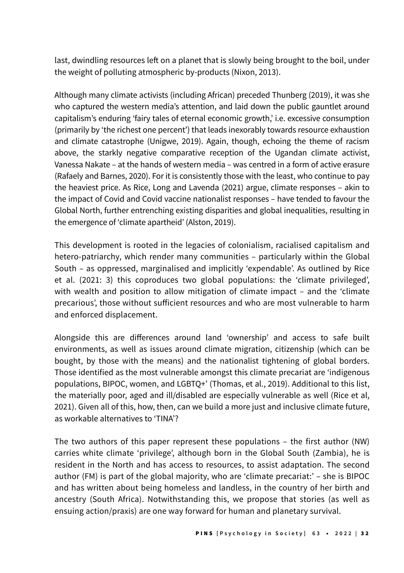last, dwindling resources left on a planet that is slowly being brought to the boil, under the weight of polluting atmospheric by-products (Nixon, 2013).

Although many climate activists (including African) preceded Thunberg (2019), it was she who captured the western media's attention, and laid down the public gauntlet around capitalism's enduring 'fairy tales of eternal economic growth,' i.e. excessive consumption (primarily by 'the richest one percent') that leads inexorably towards resource exhaustion and climate catastrophe (Unigwe, 2019). Again, though, echoing the theme of racism above, the starkly negative comparative reception of the Ugandan climate activist, Vanessa Nakate – at the hands of western media – was centred in a form of active erasure (Rafaely and Barnes, 2020). For it is consistently those with the least, who continue to pay the heaviest price. As Rice, Long and Lavenda (2021) argue, climate responses – akin to the impact of Covid and Covid vaccine nationalist responses – have tended to favour the Global North, further entrenching existing disparities and global inequalities, resulting in the emergence of 'climate apartheid' (Alston, 2019).

This development is rooted in the legacies of colonialism, racialised capitalism and hetero-patriarchy, which render many communities – particularly within the Global South – as oppressed, marginalised and implicitly 'expendable'. As outlined by Rice et al. (2021: 3) this coproduces two global populations: the 'climate privileged', with wealth and position to allow mitigation of climate impact – and the 'climate precarious', those without sufficient resources and who are most vulnerable to harm and enforced displacement.

Alongside this are differences around land 'ownership' and access to safe built environments, as well as issues around climate migration, citizenship (which can be bought, by those with the means) and the nationalist tightening of global borders. Those identified as the most vulnerable amongst this climate precariat are 'indigenous populations, BIPOC, women, and LGBTQ+' (Thomas, et al., 2019). Additional to this list, the materially poor, aged and ill/disabled are especially vulnerable as well (Rice et al, 2021). Given all of this, how, then, can we build a more just and inclusive climate future, as workable alternatives to 'TINA'?

The two authors of this paper represent these populations – the first author (NW) carries white climate 'privilege', although born in the Global South (Zambia), he is resident in the North and has access to resources, to assist adaptation. The second author (FM) is part of the global majority, who are 'climate precariat:' – she is BIPOC and has written about being homeless and landless, in the country of her birth and ancestry (South Africa). Notwithstanding this, we propose that stories (as well as ensuing action/praxis) are one way forward for human and planetary survival.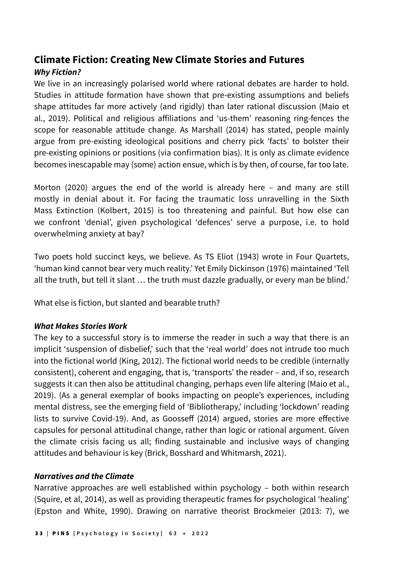# **Climate Fiction: Creating New Climate Stories and Futures** *Why Fiction?*

We live in an increasingly polarised world where rational debates are harder to hold. Studies in attitude formation have shown that pre-existing assumptions and beliefs shape attitudes far more actively (and rigidly) than later rational discussion (Maio et al., 2019). Political and religious affiliations and 'us-them' reasoning ring-fences the scope for reasonable attitude change. As Marshall (2014) has stated, people mainly argue from pre-existing ideological positions and cherry pick 'facts' to bolster their pre-existing opinions or positions (via confirmation bias). It is only as climate evidence becomes inescapable may (some) action ensue, which is by then, of course, far too late.

Morton (2020) argues the end of the world is already here – and many are still mostly in denial about it. For facing the traumatic loss unravelling in the Sixth Mass Extinction (Kolbert, 2015) is too threatening and painful. But how else can we confront 'denial', given psychological 'defences' serve a purpose, i.e. to hold overwhelming anxiety at bay?

Two poets hold succinct keys, we believe. As TS Eliot (1943) wrote in Four Quartets, 'human kind cannot bear very much reality.' Yet Emily Dickinson (1976) maintained 'Tell all the truth, but tell it slant … the truth must dazzle gradually, or every man be blind.'

What else is fiction, but slanted and bearable truth?

#### *What Makes Stories Work*

The key to a successful story is to immerse the reader in such a way that there is an implicit 'suspension of disbelief,' such that the 'real world' does not intrude too much into the fictional world (King, 2012). The fictional world needs to be credible (internally consistent), coherent and engaging, that is, 'transports' the reader – and, if so, research suggests it can then also be attitudinal changing, perhaps even life altering (Maio et al., 2019). (As a general exemplar of books impacting on people's experiences, including mental distress, see the emerging field of 'Bibliotherapy,' including 'lockdown' reading lists to survive Covid-19). And, as Goosseff (2014) argued, stories are more effective capsules for personal attitudinal change, rather than logic or rational argument. Given the climate crisis facing us all; finding sustainable and inclusive ways of changing attitudes and behaviour is key (Brick, Bosshard and Whitmarsh, 2021).

#### *Narratives and the Climate*

Narrative approaches are well established within psychology – both within research (Squire, et al, 2014), as well as providing therapeutic frames for psychological 'healing' (Epston and White, 1990). Drawing on narrative theorist Brockmeier (2013: 7), we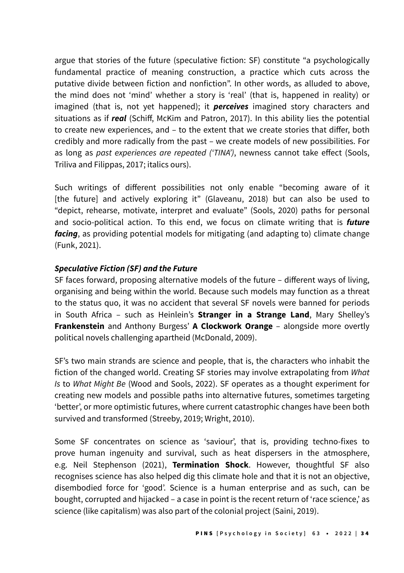argue that stories of the future (speculative fiction: SF) constitute "a psychologically fundamental practice of meaning construction, a practice which cuts across the putative divide between fiction and nonfiction". In other words, as alluded to above, the mind does not 'mind' whether a story is 'real' (that is, happened in reality) or imagined (that is, not yet happened); it *perceives* imagined story characters and situations as if *real* (Schiff, McKim and Patron, 2017). In this ability lies the potential to create new experiences, and – to the extent that we create stories that differ, both credibly and more radically from the past – we create models of new possibilities. For as long as past experiences are repeated ('TINA'), newness cannot take effect (Sools, Triliva and Filippas, 2017; italics ours).

Such writings of different possibilities not only enable "becoming aware of it [the future] and actively exploring it" (Glaveanu, 2018) but can also be used to "depict, rehearse, motivate, interpret and evaluate" (Sools, 2020) paths for personal and socio-political action. To this end, we focus on climate writing that is *future facing*, as providing potential models for mitigating (and adapting to) climate change (Funk, 2021).

#### *Speculative Fiction (SF) and the Future*

SF faces forward, proposing alternative models of the future – different ways of living, organising and being within the world. Because such models may function as a threat to the status quo, it was no accident that several SF novels were banned for periods in South Africa – such as Heinlein's **Stranger in a Strange Land**, Mary Shelley's **Frankenstein** and Anthony Burgess' **A Clockwork Orange** – alongside more overtly political novels challenging apartheid (McDonald, 2009).

SF's two main strands are science and people, that is, the characters who inhabit the fiction of the changed world. Creating SF stories may involve extrapolating from *What*  Is to *What Might Be* (Wood and Sools, 2022). SF operates as a thought experiment for creating new models and possible paths into alternative futures, sometimes targeting 'better', or more optimistic futures, where current catastrophic changes have been both survived and transformed (Streeby, 2019; Wright, 2010).

Some SF concentrates on science as 'saviour', that is, providing techno-fixes to prove human ingenuity and survival, such as heat dispersers in the atmosphere, e.g. Neil Stephenson (2021), **Termination Shock**. However, thoughtful SF also recognises science has also helped dig this climate hole and that it is not an objective, disembodied force for 'good'. Science is a human enterprise and as such, can be bought, corrupted and hijacked – a case in point is the recent return of 'race science,' as science (like capitalism) was also part of the colonial project (Saini, 2019).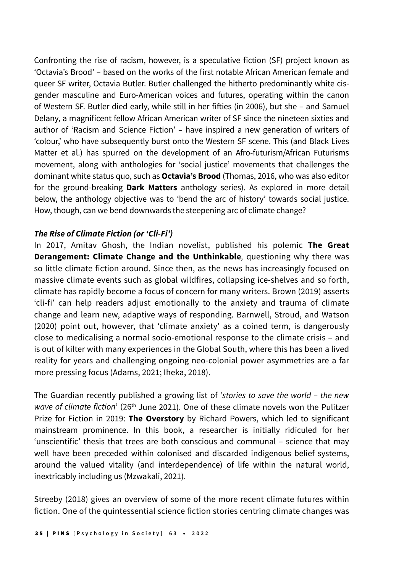Confronting the rise of racism, however, is a speculative fiction (SF) project known as 'Octavia's Brood' – based on the works of the first notable African American female and queer SF writer, Octavia Butler. Butler challenged the hitherto predominantly white cisgender masculine and Euro-American voices and futures, operating within the canon of Western SF. Butler died early, while still in her fifties (in 2006), but she – and Samuel Delany, a magnificent fellow African American writer of SF since the nineteen sixties and author of 'Racism and Science Fiction' – have inspired a new generation of writers of 'colour,' who have subsequently burst onto the Western SF scene. This (and Black Lives Matter et al.) has spurred on the development of an Afro-futurism/African Futurisms movement, along with anthologies for 'social justice' movements that challenges the dominant white status quo, such as **Octavia's Brood** (Thomas, 2016, who was also editor for the ground-breaking **Dark Matters** anthology series). As explored in more detail below, the anthology objective was to 'bend the arc of history' towards social justice. How, though, can we bend downwards the steepening arc of climate change?

#### *The Rise of Climate Fiction (or 'Cli-Fi')*

In 2017, Amitav Ghosh, the Indian novelist, published his polemic **The Great Derangement: Climate Change and the Unthinkable**, questioning why there was so little climate fiction around. Since then, as the news has increasingly focused on massive climate events such as global wildfires, collapsing ice-shelves and so forth, climate has rapidly become a focus of concern for many writers. Brown (2019) asserts 'cli-fi' can help readers adjust emotionally to the anxiety and trauma of climate change and learn new, adaptive ways of responding. Barnwell, Stroud, and Watson (2020) point out, however, that 'climate anxiety' as a coined term, is dangerously close to medicalising a normal socio-emotional response to the climate crisis – and is out of kilter with many experiences in the Global South, where this has been a lived reality for years and challenging ongoing neo-colonial power asymmetries are a far more pressing focus (Adams, 2021; Iheka, 2018).

The Guardian recently published a growing list of 'stories to save the world – the new wave of climate fiction' (26<sup>th</sup> June 2021). One of these climate novels won the Pulitzer Prize for Fiction in 2019: **The Overstory** by Richard Powers, which led to significant mainstream prominence. In this book, a researcher is initially ridiculed for her 'unscientific' thesis that trees are both conscious and communal – science that may well have been preceded within colonised and discarded indigenous belief systems, around the valued vitality (and interdependence) of life within the natural world, inextricably including us (Mzwakali, 2021).

Streeby (2018) gives an overview of some of the more recent climate futures within fiction. One of the quintessential science fiction stories centring climate changes was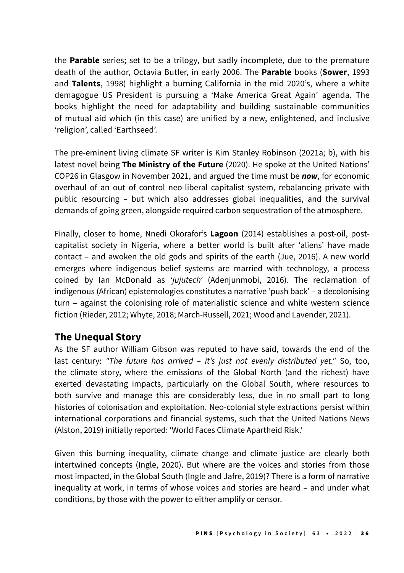the **Parable** series; set to be a trilogy, but sadly incomplete, due to the premature death of the author, Octavia Butler, in early 2006. The **Parable** books (**Sower**, 1993 and **Talents**, 1998) highlight a burning California in the mid 2020's, where a white demagogue US President is pursuing a 'Make America Great Again' agenda. The books highlight the need for adaptability and building sustainable communities of mutual aid which (in this case) are unified by a new, enlightened, and inclusive 'religion', called 'Earthseed'.

The pre-eminent living climate SF writer is Kim Stanley Robinson (2021a; b), with his latest novel being **The Ministry of the Future** (2020). He spoke at the United Nations' COP26 in Glasgow in November 2021, and argued the time must be *now*, for economic overhaul of an out of control neo-liberal capitalist system, rebalancing private with public resourcing – but which also addresses global inequalities, and the survival demands of going green, alongside required carbon sequestration of the atmosphere.

Finally, closer to home, Nnedi Okorafor's **Lagoon** (2014) establishes a post-oil, postcapitalist society in Nigeria, where a better world is built after 'aliens' have made contact – and awoken the old gods and spirits of the earth (Jue, 2016). A new world emerges where indigenous belief systems are married with technology, a process coined by Ian McDonald as 'jujutech' (Adenjunmobi, 2016). The reclamation of indigenous (African) epistemologies constitutes a narrative 'push back' – a decolonising turn – against the colonising role of materialistic science and white western science fiction (Rieder, 2012; Whyte, 2018; March-Russell, 2021; Wood and Lavender, 2021).

# **The Unequal Story**

As the SF author William Gibson was reputed to have said, towards the end of the last century: "The future has arrived - it's just not evenly distributed yet." So, too, the climate story, where the emissions of the Global North (and the richest) have exerted devastating impacts, particularly on the Global South, where resources to both survive and manage this are considerably less, due in no small part to long histories of colonisation and exploitation. Neo-colonial style extractions persist within international corporations and financial systems, such that the United Nations News (Alston, 2019) initially reported: 'World Faces Climate Apartheid Risk.'

Given this burning inequality, climate change and climate justice are clearly both intertwined concepts (Ingle, 2020). But where are the voices and stories from those most impacted, in the Global South (Ingle and Jafre, 2019)? There is a form of narrative inequality at work, in terms of whose voices and stories are heard – and under what conditions, by those with the power to either amplify or censor.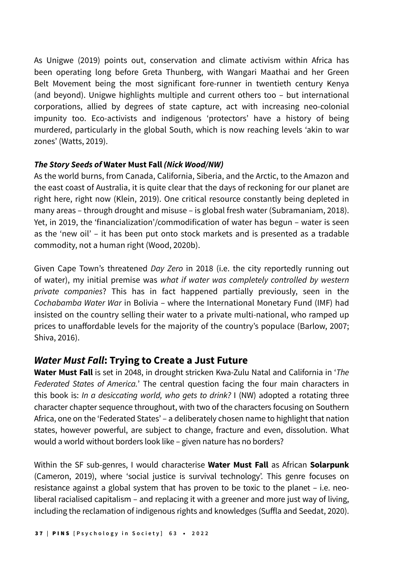As Unigwe (2019) points out, conservation and climate activism within Africa has been operating long before Greta Thunberg, with Wangari Maathai and her Green Belt Movement being the most significant fore-runner in twentieth century Kenya (and beyond). Unigwe highlights multiple and current others too – but international corporations, allied by degrees of state capture, act with increasing neo-colonial impunity too. Eco-activists and indigenous 'protectors' have a history of being murdered, particularly in the global South, which is now reaching levels 'akin to war zones' (Watts, 2019).

#### *The Story Seeds of* **Water Must Fall** *(Nick Wood/NW)*

As the world burns, from Canada, California, Siberia, and the Arctic, to the Amazon and the east coast of Australia, it is quite clear that the days of reckoning for our planet are right here, right now (Klein, 2019). One critical resource constantly being depleted in many areas – through drought and misuse – is global fresh water (Subramaniam, 2018). Yet, in 2019, the 'financialization'/commodification of water has begun – water is seen as the 'new oil' – it has been put onto stock markets and is presented as a tradable commodity, not a human right (Wood, 2020b).

Given Cape Town's threatened *Day Zero* in 2018 (i.e. the city reportedly running out of water), my initial premise was what if water was completely controlled by western private companies? This has in fact happened partially previously, seen in the Cochabamba Water War in Bolivia – where the International Monetary Fund (IMF) had insisted on the country selling their water to a private multi-national, who ramped up prices to unaffordable levels for the majority of the country's populace (Barlow, 2007; Shiva, 2016).

# *Water Must Fall***: Trying to Create a Just Future**

**Water Must Fall** is set in 2048, in drought stricken Kwa-Zulu Natal and California in '*The*  Federated States of America.' The central question facing the four main characters in this book is: In a desiccating world, who gets to drink? I (NW) adopted a rotating three character chapter sequence throughout, with two of the characters focusing on Southern Africa, one on the 'Federated States' – a deliberately chosen name to highlight that nation states, however powerful, are subject to change, fracture and even, dissolution. What would a world without borders look like – given nature has no borders?

Within the SF sub-genres, I would characterise **Water Must Fall** as African **Solarpunk**  (Cameron, 2019), where 'social justice is survival technology'. This genre focuses on resistance against a global system that has proven to be toxic to the planet – i.e. neoliberal racialised capitalism – and replacing it with a greener and more just way of living, including the reclamation of indigenous rights and knowledges (Suffla and Seedat, 2020).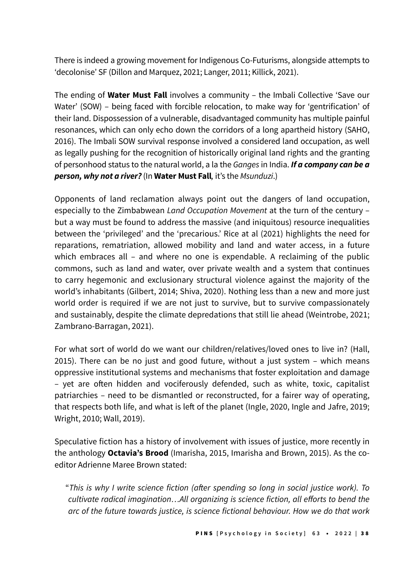There is indeed a growing movement for Indigenous Co-Futurisms, alongside attempts to 'decolonise' SF (Dillon and Marquez, 2021; Langer, 2011; Killick, 2021).

The ending of **Water Must Fall** involves a community – the Imbali Collective 'Save our Water' (SOW) – being faced with forcible relocation, to make way for 'gentrification' of their land. Dispossession of a vulnerable, disadvantaged community has multiple painful resonances, which can only echo down the corridors of a long apartheid history (SAHO, 2016). The Imbali SOW survival response involved a considered land occupation, as well as legally pushing for the recognition of historically original land rights and the granting of personhood status to the natural world, a la the *Ganges* in India. *If a company can be a person, why not a river?* (In **Water Must Fall***,* it's the Msunduzi.)

Opponents of land reclamation always point out the dangers of land occupation, especially to the Zimbabwean Land Occupation Movement at the turn of the century but a way must be found to address the massive (and iniquitous) resource inequalities between the 'privileged' and the 'precarious.' Rice at al (2021) highlights the need for reparations, rematriation, allowed mobility and land and water access, in a future which embraces all – and where no one is expendable. A reclaiming of the public commons, such as land and water, over private wealth and a system that continues to carry hegemonic and exclusionary structural violence against the majority of the world's inhabitants (Gilbert, 2014; Shiva, 2020). Nothing less than a new and more just world order is required if we are not just to survive, but to survive compassionately and sustainably, despite the climate depredations that still lie ahead (Weintrobe, 2021; Zambrano-Barragan, 2021).

For what sort of world do we want our children/relatives/loved ones to live in? (Hall, 2015). There can be no just and good future, without a just system – which means oppressive institutional systems and mechanisms that foster exploitation and damage – yet are often hidden and vociferously defended, such as white, toxic, capitalist patriarchies – need to be dismantled or reconstructed, for a fairer way of operating, that respects both life, and what is left of the planet (Ingle, 2020, Ingle and Jafre, 2019; Wright, 2010; Wall, 2019).

Speculative fiction has a history of involvement with issues of justice, more recently in the anthology **Octavia's Brood** (Imarisha, 2015, Imarisha and Brown, 2015). As the coeditor Adrienne Maree Brown stated:

"This is why I write science fiction (after spending so long in social justice work). To cultivate radical imagination…All organizing is science fiction, all efforts to bend the arc of the future towards justice, is science fictional behaviour. How we do that work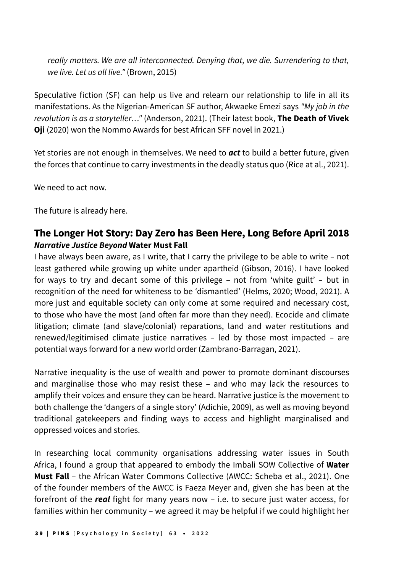really matters. We are all interconnected. Denying that, we die. Surrendering to that, we live. Let us all live." (Brown, 2015)

Speculative fiction (SF) can help us live and relearn our relationship to life in all its manifestations. As the Nigerian-American SF author, Akwaeke Emezi says "My job in the revolution is as a storyteller…" (Anderson, 2021). (Their latest book, **The Death of Vivek Oji** (2020) won the Nommo Awards for best African SFF novel in 2021.)

Yet stories are not enough in themselves. We need to *act* to build a better future, given the forces that continue to carry investments in the deadly status quo (Rice at al., 2021).

We need to act now.

The future is already here.

## **The Longer Hot Story: Day Zero has Been Here, Long Before April 2018**  *Narrative Justice Beyond* **Water Must Fall**

I have always been aware, as I write, that I carry the privilege to be able to write – not least gathered while growing up white under apartheid (Gibson, 2016). I have looked for ways to try and decant some of this privilege – not from 'white guilt' – but in recognition of the need for whiteness to be 'dismantled' (Helms, 2020; Wood, 2021). A more just and equitable society can only come at some required and necessary cost, to those who have the most (and often far more than they need). Ecocide and climate litigation; climate (and slave/colonial) reparations, land and water restitutions and renewed/legitimised climate justice narratives – led by those most impacted – are potential ways forward for a new world order (Zambrano-Barragan, 2021).

Narrative inequality is the use of wealth and power to promote dominant discourses and marginalise those who may resist these – and who may lack the resources to amplify their voices and ensure they can be heard. Narrative justice is the movement to both challenge the 'dangers of a single story' (Adichie, 2009), as well as moving beyond traditional gatekeepers and finding ways to access and highlight marginalised and oppressed voices and stories.

In researching local community organisations addressing water issues in South Africa, I found a group that appeared to embody the Imbali SOW Collective of **Water Must Fall** – the African Water Commons Collective (AWCC: Scheba et al., 2021). One of the founder members of the AWCC is Faeza Meyer and, given she has been at the forefront of the *real* fight for many years now – i.e. to secure just water access, for families within her community – we agreed it may be helpful if we could highlight her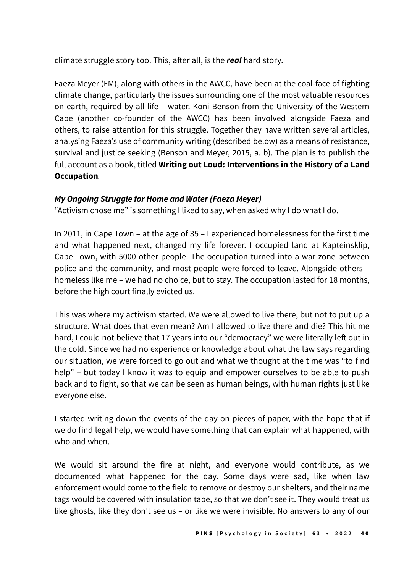climate struggle story too. This, after all, is the *real* hard story.

Faeza Meyer (FM), along with others in the AWCC, have been at the coal-face of fighting climate change, particularly the issues surrounding one of the most valuable resources on earth, required by all life – water. Koni Benson from the University of the Western Cape (another co-founder of the AWCC) has been involved alongside Faeza and others, to raise attention for this struggle. Together they have written several articles, analysing Faeza's use of community writing (described below) as a means of resistance, survival and justice seeking (Benson and Meyer, 2015, a. b). The plan is to publish the full account as a book, titled **Writing out Loud: Interventions in the History of a Land Occupation***.*

#### *My Ongoing Struggle for Home and Water (Faeza Meyer)*

"Activism chose me" is something I liked to say, when asked why I do what I do.

In 2011, in Cape Town – at the age of 35 – I experienced homelessness for the first time and what happened next, changed my life forever. I occupied land at Kapteinsklip, Cape Town, with 5000 other people. The occupation turned into a war zone between police and the community, and most people were forced to leave. Alongside others – homeless like me – we had no choice, but to stay. The occupation lasted for 18 months, before the high court finally evicted us.

This was where my activism started. We were allowed to live there, but not to put up a structure. What does that even mean? Am I allowed to live there and die? This hit me hard, I could not believe that 17 years into our "democracy" we were literally left out in the cold. Since we had no experience or knowledge about what the law says regarding our situation, we were forced to go out and what we thought at the time was "to find help" – but today I know it was to equip and empower ourselves to be able to push back and to fight, so that we can be seen as human beings, with human rights just like everyone else.

I started writing down the events of the day on pieces of paper, with the hope that if we do find legal help, we would have something that can explain what happened, with who and when.

We would sit around the fire at night, and everyone would contribute, as we documented what happened for the day. Some days were sad, like when law enforcement would come to the field to remove or destroy our shelters, and their name tags would be covered with insulation tape, so that we don't see it. They would treat us like ghosts, like they don't see us – or like we were invisible. No answers to any of our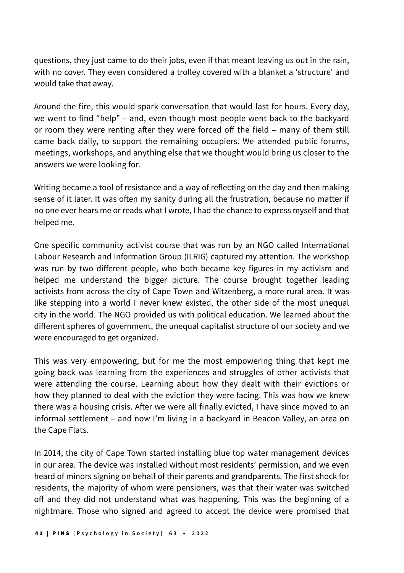questions, they just came to do their jobs, even if that meant leaving us out in the rain, with no cover. They even considered a trolley covered with a blanket a 'structure' and would take that away.

Around the fire, this would spark conversation that would last for hours. Every day, we went to find "help" – and, even though most people went back to the backyard or room they were renting after they were forced off the field – many of them still came back daily, to support the remaining occupiers. We attended public forums, meetings, workshops, and anything else that we thought would bring us closer to the answers we were looking for.

Writing became a tool of resistance and a way of reflecting on the day and then making sense of it later. It was often my sanity during all the frustration, because no matter if no one ever hears me or reads what I wrote, I had the chance to express myself and that helped me.

One specific community activist course that was run by an NGO called International Labour Research and Information Group (ILRIG) captured my attention. The workshop was run by two different people, who both became key figures in my activism and helped me understand the bigger picture. The course brought together leading activists from across the city of Cape Town and Witzenberg, a more rural area. It was like stepping into a world I never knew existed, the other side of the most unequal city in the world. The NGO provided us with political education. We learned about the different spheres of government, the unequal capitalist structure of our society and we were encouraged to get organized.

This was very empowering, but for me the most empowering thing that kept me going back was learning from the experiences and struggles of other activists that were attending the course. Learning about how they dealt with their evictions or how they planned to deal with the eviction they were facing. This was how we knew there was a housing crisis. After we were all finally evicted, I have since moved to an informal settlement – and now I'm living in a backyard in Beacon Valley, an area on the Cape Flats.

In 2014, the city of Cape Town started installing blue top water management devices in our area. The device was installed without most residents' permission, and we even heard of minors signing on behalf of their parents and grandparents. The first shock for residents, the majority of whom were pensioners, was that their water was switched off and they did not understand what was happening. This was the beginning of a nightmare. Those who signed and agreed to accept the device were promised that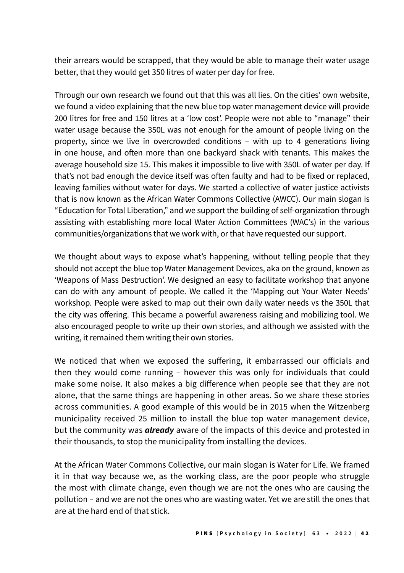their arrears would be scrapped, that they would be able to manage their water usage better, that they would get 350 litres of water per day for free.

Through our own research we found out that this was all lies. On the cities' own website, we found a video explaining that the new blue top water management device will provide 200 litres for free and 150 litres at a 'low cost'. People were not able to "manage" their water usage because the 350L was not enough for the amount of people living on the property, since we live in overcrowded conditions – with up to 4 generations living in one house, and often more than one backyard shack with tenants. This makes the average household size 15. This makes it impossible to live with 350L of water per day. If that's not bad enough the device itself was often faulty and had to be fixed or replaced, leaving families without water for days. We started a collective of water justice activists that is now known as the African Water Commons Collective (AWCC). Our main slogan is "Education for Total Liberation," and we support the building of self-organization through assisting with establishing more local Water Action Committees (WAC's) in the various communities/organizations that we work with, or that have requested our support.

We thought about ways to expose what's happening, without telling people that they should not accept the blue top Water Management Devices, aka on the ground, known as 'Weapons of Mass Destruction'. We designed an easy to facilitate workshop that anyone can do with any amount of people. We called it the 'Mapping out Your Water Needs' workshop. People were asked to map out their own daily water needs vs the 350L that the city was offering. This became a powerful awareness raising and mobilizing tool. We also encouraged people to write up their own stories, and although we assisted with the writing, it remained them writing their own stories.

We noticed that when we exposed the suffering, it embarrassed our officials and then they would come running – however this was only for individuals that could make some noise. It also makes a big difference when people see that they are not alone, that the same things are happening in other areas. So we share these stories across communities. A good example of this would be in 2015 when the Witzenberg municipality received 25 million to install the blue top water management device, but the community was *already* aware of the impacts of this device and protested in their thousands, to stop the municipality from installing the devices.

At the African Water Commons Collective, our main slogan is Water for Life. We framed it in that way because we, as the working class, are the poor people who struggle the most with climate change, even though we are not the ones who are causing the pollution – and we are not the ones who are wasting water. Yet we are still the ones that are at the hard end of that stick.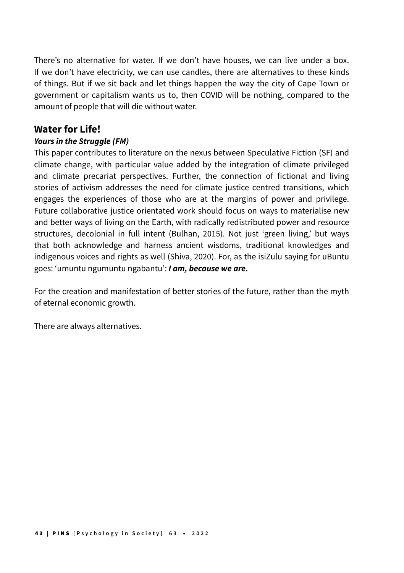There's no alternative for water. If we don't have houses, we can live under a box. If we don't have electricity, we can use candles, there are alternatives to these kinds of things. But if we sit back and let things happen the way the city of Cape Town or government or capitalism wants us to, then COVID will be nothing, compared to the amount of people that will die without water.

## **Water for Life!**

#### *Yours in the Struggle (FM)*

This paper contributes to literature on the nexus between Speculative Fiction (SF) and climate change, with particular value added by the integration of climate privileged and climate precariat perspectives. Further, the connection of fictional and living stories of activism addresses the need for climate justice centred transitions, which engages the experiences of those who are at the margins of power and privilege. Future collaborative justice orientated work should focus on ways to materialise new and better ways of living on the Earth, with radically redistributed power and resource structures, decolonial in full intent (Bulhan, 2015). Not just 'green living,' but ways that both acknowledge and harness ancient wisdoms, traditional knowledges and indigenous voices and rights as well (Shiva, 2020). For, as the isiZulu saying for uBuntu goes: 'umuntu ngumuntu ngabantu': *I am, because we are.*

For the creation and manifestation of better stories of the future, rather than the myth of eternal economic growth.

There are always alternatives.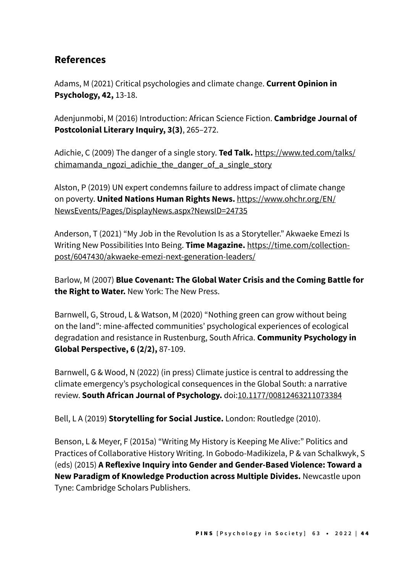# **References**

Adams, M (2021) Critical psychologies and climate change. **Current Opinion in Psychology, 42,** 13-18.

Adenjunmobi, M (2016) Introduction: African Science Fiction. **Cambridge Journal of Postcolonial Literary Inquiry, 3(3)**, 265–272.

Adichie, C (2009) The danger of a single story. **Ted Talk.** [https://www.ted.com/talks/](https://www.ted.com/talks/chimamanda_ngozi_adichie_the_danger_of_a_single_story) chimamanda ngozi adichie the danger of a single story

Alston, P (2019) UN expert condemns failure to address impact of climate change on poverty. **United Nations Human Rights News.** [https://www.ohchr.org/EN/](https://www.ohchr.org/EN/NewsEvents/Pages/DisplayNews.aspx?NewsID=24735) [NewsEvents/Pages/DisplayNews.aspx?NewsID=24735](https://www.ohchr.org/EN/NewsEvents/Pages/DisplayNews.aspx?NewsID=24735)

Anderson, T (2021) "My Job in the Revolution Is as a Storyteller." Akwaeke Emezi Is Writing New Possibilities Into Being. **Time Magazine.** [https://time.com/collection](https://time.com/collection-post/6047430/akwaeke-emezi-next-generation-leaders/)[post/6047430/akwaeke-emezi-next-generation-leaders/](https://time.com/collection-post/6047430/akwaeke-emezi-next-generation-leaders/)

Barlow, M (2007) **Blue Covenant: The Global Water Crisis and the Coming Battle for the Right to Water.** New York: The New Press.

Barnwell, G, Stroud, L & Watson, M (2020) "Nothing green can grow without being on the land": mine-affected communities' psychological experiences of ecological degradation and resistance in Rustenburg, South Africa. **Community Psychology in Global Perspective, 6 (2/2),** 87-109.

Barnwell, G & Wood, N (2022) (in press) Climate justice is central to addressing the climate emergency's psychological consequences in the Global South: a narrative review. **South African Journal of Psychology.** doi[:10.1177/00812463211073384](https://doi.org/10.1177/00812463211073384)

Bell, L A (2019) **Storytelling for Social Justice.** London: Routledge (2010).

Benson, L & Meyer, F (2015a) "Writing My History is Keeping Me Alive:" Politics and Practices of Collaborative History Writing. In Gobodo-Madikizela, P & van Schalkwyk, S (eds) (2015) **A Reflexive Inquiry into Gender and Gender-Based Violence: Toward a New Paradigm of Knowledge Production across Multiple Divides.** Newcastle upon Tyne: Cambridge Scholars Publishers.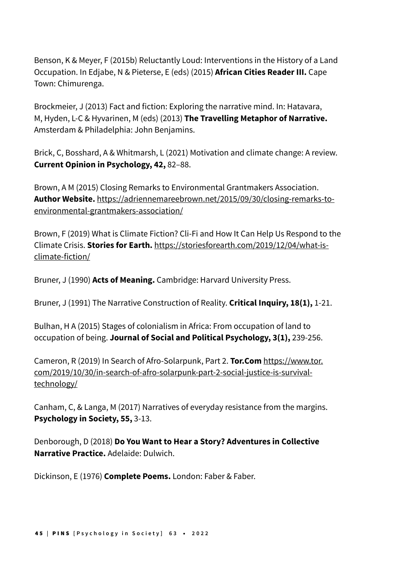Benson, K & Meyer, F (2015b) Reluctantly Loud: Interventions in the History of a Land Occupation. In Edjabe, N & Pieterse, E (eds) (2015) **African Cities Reader III.** Cape Town: Chimurenga.

Brockmeier, J (2013) Fact and fiction: Exploring the narrative mind. In: Hatavara, M, Hyden, L-C & Hyvarinen, M (eds) (2013) **The Travelling Metaphor of Narrative.** Amsterdam & Philadelphia: John Benjamins.

Brick, C, Bosshard, A & Whitmarsh, L (2021) Motivation and climate change: A review. **Current Opinion in Psychology, 42,** 82–88.

Brown, A M (2015) Closing Remarks to Environmental Grantmakers Association. **Author Website.** [https://adriennemareebrown.net/2015/09/30/closing-remarks-to](https://adriennemareebrown.net/2015/09/30/closing-remarks-to-environmental-grantmakers-association/)[environmental-grantmakers-association/](https://adriennemareebrown.net/2015/09/30/closing-remarks-to-environmental-grantmakers-association/)

Brown, F (2019) What is Climate Fiction? Cli-Fi and How It Can Help Us Respond to the Climate Crisis. **Stories for Earth.** [https://storiesforearth.com/2019/12/04/what-is](https://storiesforearth.com/2019/12/04/what-is-climate-fiction/)[climate-fiction/](https://storiesforearth.com/2019/12/04/what-is-climate-fiction/)

Bruner, J (1990) **Acts of Meaning.** Cambridge: Harvard University Press.

Bruner, J (1991) The Narrative Construction of Reality. **Critical Inquiry, 18(1),** 1-21.

Bulhan, H A (2015) Stages of colonialism in Africa: From occupation of land to occupation of being. **Journal of Social and Political Psychology, 3(1),** 239-256.

Cameron, R (2019) In Search of Afro-Solarpunk, Part 2. **Tor.Com** [https://www.tor.](https://www.tor.com/2019/10/30/in-search-of-afro-solarpunk-part-2-social-justice-is-survival-technology/) [com/2019/10/30/in-search-of-afro-solarpunk-part-2-social-justice-is-survival](https://www.tor.com/2019/10/30/in-search-of-afro-solarpunk-part-2-social-justice-is-survival-technology/)[technology/](https://www.tor.com/2019/10/30/in-search-of-afro-solarpunk-part-2-social-justice-is-survival-technology/)

Canham, C, & Langa, M (2017) Narratives of everyday resistance from the margins. **Psychology in Society, 55,** 3-13.

Denborough, D (2018) **Do You Want to Hear a Story? Adventures in Collective Narrative Practice.** Adelaide: Dulwich.

Dickinson, E (1976) **Complete Poems.** London: Faber & Faber.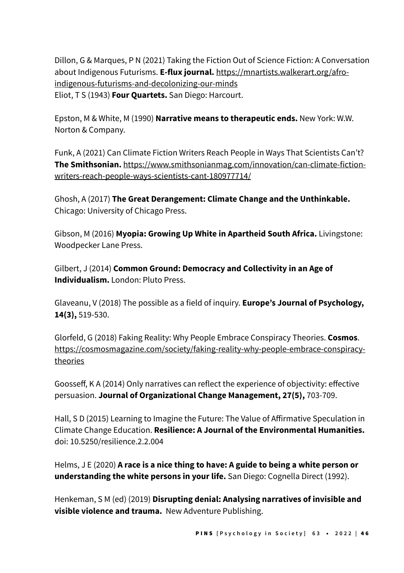Dillon, G & Marques, P N (2021) Taking the Fiction Out of Science Fiction: A Conversation about Indigenous Futurisms. **E-flux journal.** [https://mnartists.walkerart.org/afro](https://mnartists.walkerart.org/afro-indigenous-futurisms-and-decolonizing-our-minds)[indigenous-futurisms-and-decolonizing-our-minds](https://mnartists.walkerart.org/afro-indigenous-futurisms-and-decolonizing-our-minds) Eliot, T S (1943) **Four Quartets.** San Diego: Harcourt.

Epston, M & White, M (1990) **Narrative means to therapeutic ends.** New York: W.W. Norton & Company.

Funk, A (2021) Can Climate Fiction Writers Reach People in Ways That Scientists Can't? **The Smithsonian.** [https://www.smithsonianmag.com/innovation/can-climate-fiction](https://www.smithsonianmag.com/innovation/can-climate-fiction-writers-reach-people-ways-scientists-cant-180977714/)[writers-reach-people-ways-scientists-cant-180977714/](https://www.smithsonianmag.com/innovation/can-climate-fiction-writers-reach-people-ways-scientists-cant-180977714/)

Ghosh, A (2017) **The Great Derangement: Climate Change and the Unthinkable.** Chicago: University of Chicago Press.

Gibson, M (2016) **Myopia: Growing Up White in Apartheid South Africa.** Livingstone: Woodpecker Lane Press.

Gilbert, J (2014) **Common Ground: Democracy and Collectivity in an Age of Individualism.** London: Pluto Press.

Glaveanu, V (2018) The possible as a field of inquiry. **Europe's Journal of Psychology, 14(3),** 519-530.

Glorfeld, G (2018) Faking Reality: Why People Embrace Conspiracy Theories. **Cosmos**. [https://cosmosmagazine.com/society/faking-reality-why-people-embrace-conspiracy](https://cosmosmagazine.com/society/faking-reality-why-people-embrace-conspiracy-theories)[theories](https://cosmosmagazine.com/society/faking-reality-why-people-embrace-conspiracy-theories) 

Goosseff, K A (2014) Only narratives can reflect the experience of objectivity: effective persuasion. **Journal of Organizational Change Management, 27(5),** 703-709.

Hall, S D (2015) Learning to Imagine the Future: The Value of Affirmative Speculation in Climate Change Education. **Resilience: A Journal of the Environmental Humanities.**  doi: 10.5250/resilience.2.2.004

Helms, J E (2020) **A race is a nice thing to have: A guide to being a white person or understanding the white persons in your life.** San Diego: Cognella Direct (1992).

Henkeman, S M (ed) (2019) **Disrupting denial: Analysing narratives of invisible and visible violence and trauma.** New Adventure Publishing.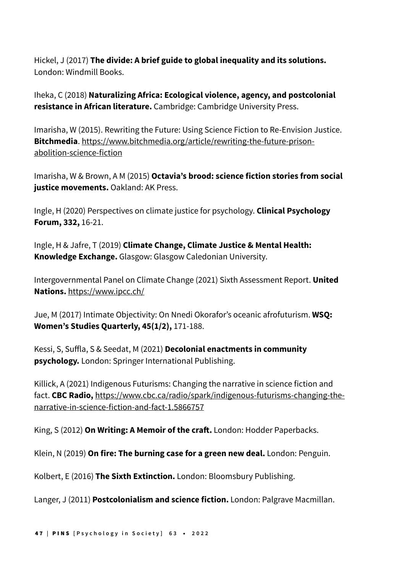Hickel, J (2017) **The divide: A brief guide to global inequality and its solutions.** London: Windmill Books.

Iheka, C (2018) **Naturalizing Africa: Ecological violence, agency, and postcolonial resistance in African literature.** Cambridge: Cambridge University Press.

Imarisha, W (2015). Rewriting the Future: Using Science Fiction to Re-Envision Justice. **Bitchmedia**. [https://www.bitchmedia.org/article/rewriting-the-future-prison](https://www.bitchmedia.org/article/rewriting-the-future-prison-abolition-science-fiction)[abolition-science-fiction](https://www.bitchmedia.org/article/rewriting-the-future-prison-abolition-science-fiction)

Imarisha, W & Brown, A M (2015) **Octavia's brood: science fiction stories from social justice movements.** Oakland: AK Press.

Ingle, H (2020) Perspectives on climate justice for psychology. **Clinical Psychology Forum, 332,** 16-21.

Ingle, H & Jafre, T (2019) **Climate Change, Climate Justice & Mental Health: Knowledge Exchange.** Glasgow: Glasgow Caledonian University.

Intergovernmental Panel on Climate Change (2021) Sixth Assessment Report. **United Nations.** <https://www.ipcc.ch/>

Jue, M (2017) Intimate Objectivity: On Nnedi Okorafor's oceanic afrofuturism. **WSQ: Women's Studies Quarterly, 45(1/2),** 171-188.

Kessi, S, Suffla, S & Seedat, M (2021) **Decolonial enactments in community psychology.** London: Springer International Publishing.

Killick, A (2021) Indigenous Futurisms: Changing the narrative in science fiction and fact. **CBC Radio,** [https://www.cbc.ca/radio/spark/indigenous-futurisms-changing-the](https://www.cbc.ca/radio/spark/indigenous-futurisms-changing-the-narrative-in-science-fiction-and-fact-1.5866757)[narrative-in-science-fiction-and-fact-1.5866757](https://www.cbc.ca/radio/spark/indigenous-futurisms-changing-the-narrative-in-science-fiction-and-fact-1.5866757)

King, S (2012) **On Writing: A Memoir of the craft.** London: Hodder Paperbacks.

Klein, N (2019) **On fire: The burning case for a green new deal.** London: Penguin.

Kolbert, E (2016) **The Sixth Extinction.** London: Bloomsbury Publishing.

Langer, J (2011) **Postcolonialism and science fiction.** London: Palgrave Macmillan.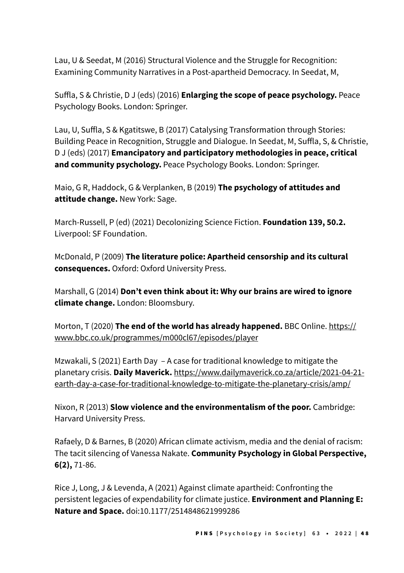Lau, U & Seedat, M (2016) Structural Violence and the Struggle for Recognition: Examining Community Narratives in a Post-apartheid Democracy. In Seedat, M,

Suffla, S & Christie, D J (eds) (2016) **Enlarging the scope of peace psychology.** Peace Psychology Books. London: Springer.

Lau, U, Suffla, S & Kgatitswe, B (2017) Catalysing Transformation through Stories: Building Peace in Recognition, Struggle and Dialogue. In Seedat, M, Suffla, S, & Christie, D J (eds) (2017) **Emancipatory and participatory methodologies in peace, critical and community psychology.** Peace Psychology Books. London: Springer.

Maio, G R, Haddock, G & Verplanken, B (2019) **The psychology of attitudes and attitude change.** New York: Sage.

March-Russell, P (ed) (2021) Decolonizing Science Fiction. **Foundation 139, 50.2.**  Liverpool: SF Foundation.

McDonald, P (2009) **The literature police: Apartheid censorship and its cultural consequences.** Oxford: Oxford University Press.

Marshall, G (2014) **Don't even think about it: Why our brains are wired to ignore climate change.** London: Bloomsbury.

Morton, T (2020) **The end of the world has already happened.** BBC Online. [https://](https://www.bbc.co.uk/programmes/m000cl67/episodes/player) [www.bbc.co.uk/programmes/m000cl67/episodes/player](https://www.bbc.co.uk/programmes/m000cl67/episodes/player)

Mzwakali, S (2021) Earth Day – A case for traditional knowledge to mitigate the planetary crisis. **Daily Maverick.** [https://www.dailymaverick.co.za/article/2021-04-21](https://www.dailymaverick.co.za/article/2021-04-21-earth-day-a-case-for-traditional-knowledge-to-mitigate-the-planetary-crisis/amp/) [earth-day-a-case-for-traditional-knowledge-to-mitigate-the-planetary-crisis/amp/](https://www.dailymaverick.co.za/article/2021-04-21-earth-day-a-case-for-traditional-knowledge-to-mitigate-the-planetary-crisis/amp/)

Nixon, R (2013) **Slow violence and the environmentalism of the poor.** Cambridge: Harvard University Press.

Rafaely, D & Barnes, B (2020) African climate activism, media and the denial of racism: The tacit silencing of Vanessa Nakate. **Community Psychology in Global Perspective, 6(2),** 71-86.

Rice J, Long, J & Levenda, A (2021) Against climate apartheid: Confronting the persistent legacies of expendability for climate justice. **Environment and Planning E: Nature and Space.** doi:10.1177/2514848621999286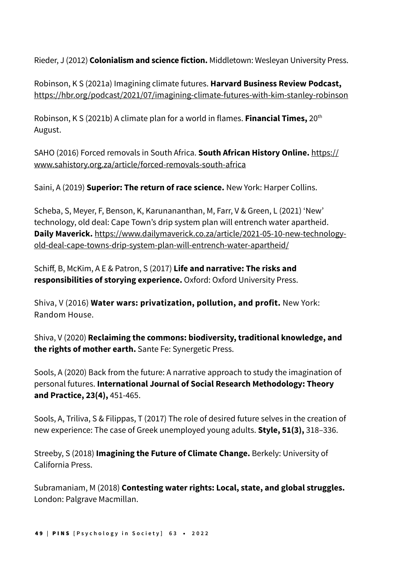Rieder, J (2012) **Colonialism and science fiction.** Middletown: Wesleyan University Press.

Robinson, K S (2021a) Imagining climate futures. **Harvard Business Review Podcast,**  <https://hbr.org/podcast/2021/07/imagining-climate-futures-with-kim-stanley-robinson>

Robinson, K S (2021b) A climate plan for a world in flames. **Financial Times,** 20th August.

SAHO (2016) Forced removals in South Africa. **South African History Online.** [https://](https://www.sahistory.org.za/article/forced-removals-south-africa) [www.sahistory.org.za/article/forced-removals-south-africa](https://www.sahistory.org.za/article/forced-removals-south-africa)

Saini, A (2019) **Superior: The return of race science.** New York: Harper Collins.

Scheba, S, Meyer, F, Benson, K, Karunananthan, M, Farr, V & Green, L (2021) 'New' technology, old deal: Cape Town's drip system plan will entrench water apartheid. **Daily Maverick.** [https://www.dailymaverick.co.za/article/2021-05-10-new-technology](https://www.dailymaverick.co.za/article/2021-05-10-new-technology-old-deal-cape-towns-drip-system-plan-will-entrench-water-apartheid/)[old-deal-cape-towns-drip-system-plan-will-entrench-water-apartheid/](https://www.dailymaverick.co.za/article/2021-05-10-new-technology-old-deal-cape-towns-drip-system-plan-will-entrench-water-apartheid/)

Schiff, B, McKim, A E & Patron, S (2017) **Life and narrative: The risks and responsibilities of storying experience.** Oxford: Oxford University Press.

Shiva, V (2016) **Water wars: privatization, pollution, and profit.** New York: Random House.

Shiva, V (2020) **Reclaiming the commons: biodiversity, traditional knowledge, and the rights of mother earth.** Sante Fe: Synergetic Press.

Sools, A (2020) Back from the future: A narrative approach to study the imagination of personal futures. **International Journal of Social Research Methodology: Theory and Practice, 23(4),** 451-465.

Sools, A, Triliva, S & Filippas, T (2017) The role of desired future selves in the creation of new experience: The case of Greek unemployed young adults. **Style, 51(3),** 318–336.

Streeby, S (2018) **Imagining the Future of Climate Change.** Berkely: University of California Press.

Subramaniam, M (2018) **Contesting water rights: Local, state, and global struggles.**  London: Palgrave Macmillan.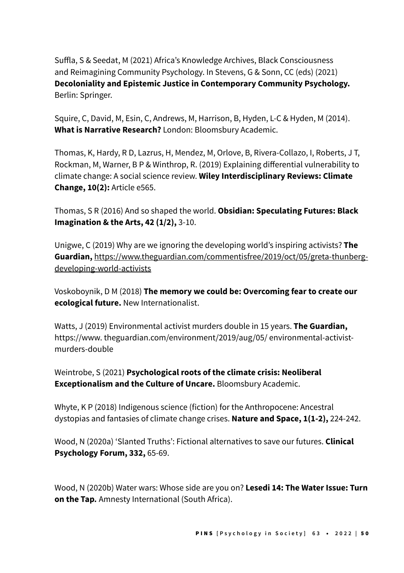Suffla, S & Seedat, M (2021) Africa's Knowledge Archives, Black Consciousness and Reimagining Community Psychology. In Stevens, G & Sonn, CC (eds) (2021) **Decoloniality and Epistemic Justice in Contemporary Community Psychology.**  Berlin: Springer.

Squire, C, David, M, Esin, C, Andrews, M, Harrison, B, Hyden, L-C & Hyden, M (2014). **What is Narrative Research?** London: Bloomsbury Academic.

Thomas, K, Hardy, R D, Lazrus, H, Mendez, M, Orlove, B, Rivera-Collazo, I, Roberts, J T, Rockman, M, Warner, B P & Winthrop, R. (2019) Explaining differential vulnerability to climate change: A social science review. **Wiley Interdisciplinary Reviews: Climate Change, 10(2):** Article e565.

Thomas, S R (2016) And so shaped the world. **Obsidian: Speculating Futures: Black Imagination & the Arts, 42 (1/2),** 3-10.

Unigwe, C (2019) Why are we ignoring the developing world's inspiring activists? **The Guardian,** [https://www.theguardian.com/commentisfree/2019/oct/05/greta-thunberg](https://www.theguardian.com/commentisfree/2019/oct/05/greta-thunberg-developing-world-activists)[developing-world-activists](https://www.theguardian.com/commentisfree/2019/oct/05/greta-thunberg-developing-world-activists)

Voskoboynik, D M (2018) **The memory we could be: Overcoming fear to create our ecological future.** New Internationalist.

Watts, J (2019) Environmental activist murders double in 15 years. **The Guardian,** https://www. theguardian.com/environment/2019/aug/05/ environmental-activistmurders-double

Weintrobe, S (2021) **Psychological roots of the climate crisis: Neoliberal Exceptionalism and the Culture of Uncare.** Bloomsbury Academic.

Whyte, K P (2018) Indigenous science (fiction) for the Anthropocene: Ancestral dystopias and fantasies of climate change crises. **Nature and Space, 1(1-2),** 224-242.

Wood, N (2020a) 'Slanted Truths': Fictional alternatives to save our futures. **Clinical Psychology Forum, 332,** 65-69.

Wood, N (2020b) Water wars: Whose side are you on? **Lesedi 14: The Water Issue: Turn on the Tap***.* Amnesty International (South Africa).